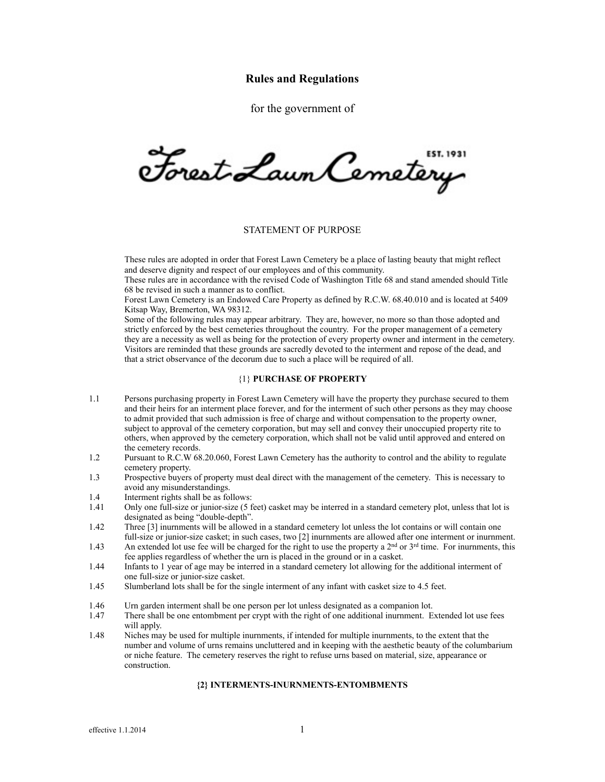**Rules and Regulations**

for the government of

Forest Laun Cemetery

### STATEMENT OF PURPOSE

These rules are adopted in order that Forest Lawn Cemetery be a place of lasting beauty that might reflect and deserve dignity and respect of our employees and of this community.

 These rules are in accordance with the revised Code of Washington Title 68 and stand amended should Title 68 be revised in such a manner as to conflict.

 Forest Lawn Cemetery is an Endowed Care Property as defined by R.C.W. 68.40.010 and is located at 5409 Kitsap Way, Bremerton, WA 98312.

 Some of the following rules may appear arbitrary. They are, however, no more so than those adopted and strictly enforced by the best cemeteries throughout the country. For the proper management of a cemetery they are a necessity as well as being for the protection of every property owner and interment in the cemetery. Visitors are reminded that these grounds are sacredly devoted to the interment and repose of the dead, and that a strict observance of the decorum due to such a place will be required of all.

# {1} **PURCHASE OF PROPERTY**

- 1.1 Persons purchasing property in Forest Lawn Cemetery will have the property they purchase secured to them and their heirs for an interment place forever, and for the interment of such other persons as they may choose to admit provided that such admission is free of charge and without compensation to the property owner, subject to approval of the cemetery corporation, but may sell and convey their unoccupied property rite to others, when approved by the cemetery corporation, which shall not be valid until approved and entered on the cemetery records.<br>1.2. Pursuant to R.C.W.68
- Pursuant to R.C.W 68.20.060, Forest Lawn Cemetery has the authority to control and the ability to regulate cemetery property.<br>1.3 Prospective buvers
- Prospective buyers of property must deal direct with the management of the cemetery. This is necessary to avoid any misunderstandings.
- 1.4 Interment rights shall be as follows:
- 1.41 Only one full-size or junior-size (5 feet) casket may be interred in a standard cemetery plot, unless that lot is designated as being "double-depth".
- 1.42 Three [3] inurnments will be allowed in a standard cemetery lot unless the lot contains or will contain one full-size or junior-size casket; in such cases, two [2] inurnments are allowed after one interment or inurnment.
- 1.43 An extended lot use fee will be charged for the right to use the property a  $2<sup>nd</sup>$  or  $3<sup>rd</sup>$  time. For inurnments, this fee applies regardless of whether the urn is placed in the ground or in a casket.
- 1.44 Infants to 1 year of age may be interred in a standard cemetery lot allowing for the additional interment of one full-size or junior-size casket.
- 1.45 Slumberland lots shall be for the single interment of any infant with casket size to 4.5 feet.
- 1.46 Urn garden interment shall be one person per lot unless designated as a companion lot.
- 1.47 There shall be one entombment per crypt with the right of one additional inurnment. Extended lot use fees will apply.<br>1.48 Niches ma
- Niches may be used for multiple inurnments, if intended for multiple inurnments, to the extent that the number and volume of urns remains uncluttered and in keeping with the aesthetic beauty of the columbarium or niche feature. The cemetery reserves the right to refuse urns based on material, size, appearance or construction.

### **{2} INTERMENTS-INURNMENTS-ENTOMBMENTS**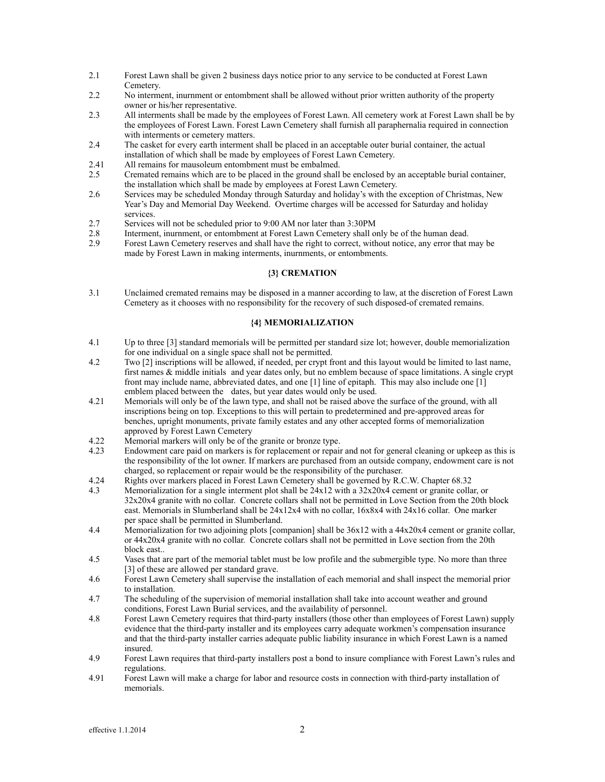- 2.1 Forest Lawn shall be given 2 business days notice prior to any service to be conducted at Forest Lawn Cemetery.
- 2.2 No interment, inurnment or entombment shall be allowed without prior written authority of the property owner or his/her representative.
- 2.3 All interments shall be made by the employees of Forest Lawn. All cemetery work at Forest Lawn shall be by the employees of Forest Lawn. Forest Lawn Cemetery shall furnish all paraphernalia required in connection with interments or cemetery matters.
- 2.4 The casket for every earth interment shall be placed in an acceptable outer burial container, the actual installation of which shall be made by employees of Forest Lawn Cemetery.<br>2.41 All remains for mausoleum entombment must be embalmed.
- All remains for mausoleum entombment must be embalmed.
- 2.5 Cremated remains which are to be placed in the ground shall be enclosed by an acceptable burial container, the installation which shall be made by employees at Forest Lawn Cemetery.<br>2.6 Services may be scheduled Monday through Saturday and holiday's with the
- Services may be scheduled Monday through Saturday and holiday's with the exception of Christmas, New Year's Day and Memorial Day Weekend. Overtime charges will be accessed for Saturday and holiday services.<br>2.7 Services
- 
- 2.7 Services will not be scheduled prior to 9:00 AM nor later than 3:30PM<br>2.8 Interment, inurnment, or entombment at Forest Lawn Cemetery shall of 2.8 Interment, inurnment, or entombment at Forest Lawn Cemetery shall only be of the human dead.<br>2.9 Forest Lawn Cemetery reserves and shall have the right to correct, without notice, any error that i
- Forest Lawn Cemetery reserves and shall have the right to correct, without notice, any error that may be made by Forest Lawn in making interments, inurnments, or entombments.

### **{3} CREMATION**

3.1 Unclaimed cremated remains may be disposed in a manner according to law, at the discretion of Forest Lawn Cemetery as it chooses with no responsibility for the recovery of such disposed-of cremated remains.

### **{4} MEMORIALIZATION**

- 4.1 Up to three [3] standard memorials will be permitted per standard size lot; however, double memorialization for one individual on a single space shall not be permitted.
- 4.2 Two [2] inscriptions will be allowed, if needed, per crypt front and this layout would be limited to last name, first names & middle initials and year dates only, but no emblem because of space limitations. A single crypt front may include name, abbreviated dates, and one [1] line of epitaph. This may also include one [1] emblem placed between the dates, but year dates would only be used.<br>4.21 Memorials will only be of the lawn type, and shall not be raised above t
- Memorials will only be of the lawn type, and shall not be raised above the surface of the ground, with all inscriptions being on top. Exceptions to this will pertain to predetermined and pre-approved areas for benches, upright monuments, private family estates and any other accepted forms of memorialization approved by Forest Lawn Cemetery
- 4.22 Memorial markers will only be of the granite or bronze type.
- 4.23 Endowment care paid on markers is for replacement or repair and not for general cleaning or upkeep as this is the responsibility of the lot owner. If markers are purchased from an outside company, endowment care is not charged, so replacement or repair would be the responsibility of the purchaser.
- 4.24 Rights over markers placed in Forest Lawn Cemetery shall be governed by R.C.W. Chapter 68.32
- Memorialization for a single interment plot shall be  $24x12$  with a  $32x20x4$  cement or granite collar, or 32x20x4 granite with no collar. Concrete collars shall not be permitted in Love Section from the 20th block east. Memorials in Slumberland shall be 24x12x4 with no collar, 16x8x4 with 24x16 collar. One marker per space shall be permitted in Slumberland.
- 4.4 Memorialization for two adjoining plots [companion] shall be 36x12 with a 44x20x4 cement or granite collar, or 44x20x4 granite with no collar. Concrete collars shall not be permitted in Love section from the 20th block east..
- 4.5 Vases that are part of the memorial tablet must be low profile and the submergible type. No more than three [3] of these are allowed per standard grave.
- 4.6 Forest Lawn Cemetery shall supervise the installation of each memorial and shall inspect the memorial prior to installation.
- 4.7 The scheduling of the supervision of memorial installation shall take into account weather and ground conditions, Forest Lawn Burial services, and the availability of personnel.
- 4.8 Forest Lawn Cemetery requires that third-party installers (those other than employees of Forest Lawn) supply evidence that the third-party installer and its employees carry adequate workmen's compensation insurance and that the third-party installer carries adequate public liability insurance in which Forest Lawn is a named insured.<br>4.9 Forest L
- Forest Lawn requires that third-party installers post a bond to insure compliance with Forest Lawn's rules and regulations.
- 4.91 Forest Lawn will make a charge for labor and resource costs in connection with third-party installation of memorials.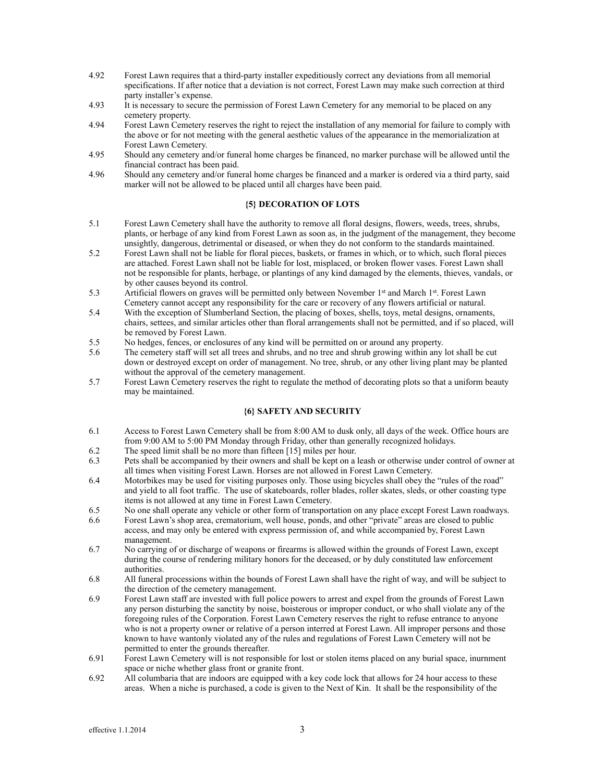- 4.92 Forest Lawn requires that a third-party installer expeditiously correct any deviations from all memorial specifications. If after notice that a deviation is not correct, Forest Lawn may make such correction at third party installer's expense.<br>4.93 It is necessary to secure t
- It is necessary to secure the permission of Forest Lawn Cemetery for any memorial to be placed on any cemetery property.
- 4.94 Forest Lawn Cemetery reserves the right to reject the installation of any memorial for failure to comply with the above or for not meeting with the general aesthetic values of the appearance in the memorialization at Forest Lawn Cemetery.
- 4.95 Should any cemetery and/or funeral home charges be financed, no marker purchase will be allowed until the financial contract has been paid.
- 4.96 Should any cemetery and/or funeral home charges be financed and a marker is ordered via a third party, said marker will not be allowed to be placed until all charges have been paid.

# **{5} DECORATION OF LOTS**

- 5.1 Forest Lawn Cemetery shall have the authority to remove all floral designs, flowers, weeds, trees, shrubs, plants, or herbage of any kind from Forest Lawn as soon as, in the judgment of the management, they become unsightly, dangerous, detrimental or diseased, or when they do not conform to the standards maintained.<br>5.2 Forest Lawn shall not be liable for floral pieces, baskets, or frames in which, or to which, such floral piec
- 5.2 Forest Lawn shall not be liable for floral pieces, baskets, or frames in which, or to which, such floral pieces are attached. Forest Lawn shall not be liable for lost, misplaced, or broken flower vases. Forest Lawn shall not be responsible for plants, herbage, or plantings of any kind damaged by the elements, thieves, vandals, or by other causes beyond its control.
- 5.3 Artificial flowers on graves will be permitted only between November 1st and March 1st. Forest Lawn Cemetery cannot accept any responsibility for the care or recovery of any flowers artificial or natural.
- 5.4 With the exception of Slumberland Section, the placing of boxes, shells, toys, metal designs, ornaments, chairs, settees, and similar articles other than floral arrangements shall not be permitted, and if so placed, will be removed by Forest Lawn.<br>5.5 No hedges, fences, or enclose
- No hedges, fences, or enclosures of any kind will be permitted on or around any property.
- 5.6 The cemetery staff will set all trees and shrubs, and no tree and shrub growing within any lot shall be cut down or destroyed except on order of management. No tree, shrub, or any other living plant may be planted without the approval of the cemetery management.
- 5.7 Forest Lawn Cemetery reserves the right to regulate the method of decorating plots so that a uniform beauty may be maintained.

## **{6} SAFETY AND SECURITY**

- 6.1 Access to Forest Lawn Cemetery shall be from 8:00 AM to dusk only, all days of the week. Office hours are from 9:00 AM to 5:00 PM Monday through Friday, other than generally recognized holidays.
- 6.2 The speed limit shall be no more than fifteen [15] miles per hour.
- 6.3 Pets shall be accompanied by their owners and shall be kept on a leash or otherwise under control of owner at all times when visiting Forest Lawn. Horses are not allowed in Forest Lawn Cemetery.
- 6.4 Motorbikes may be used for visiting purposes only. Those using bicycles shall obey the "rules of the road" and yield to all foot traffic. The use of skateboards, roller blades, roller skates, sleds, or other coasting type items is not allowed at any time in Forest Lawn Cemetery.
- 6.5 No one shall operate any vehicle or other form of transportation on any place except Forest Lawn roadways.<br>6.6 Forest Lawn's shop area, crematorium, well house, ponds, and other "private" areas are closed to public
- Forest Lawn's shop area, crematorium, well house, ponds, and other "private" areas are closed to public access, and may only be entered with express permission of, and while accompanied by, Forest Lawn management.
- 6.7 No carrying of or discharge of weapons or firearms is allowed within the grounds of Forest Lawn, except during the course of rendering military honors for the deceased, or by duly constituted law enforcement authorities.
- 6.8 All funeral processions within the bounds of Forest Lawn shall have the right of way, and will be subject to the direction of the cemetery management.
- 6.9 Forest Lawn staff are invested with full police powers to arrest and expel from the grounds of Forest Lawn any person disturbing the sanctity by noise, boisterous or improper conduct, or who shall violate any of the foregoing rules of the Corporation. Forest Lawn Cemetery reserves the right to refuse entrance to anyone who is not a property owner or relative of a person interred at Forest Lawn. All improper persons and those known to have wantonly violated any of the rules and regulations of Forest Lawn Cemetery will not be permitted to enter the grounds thereafter.<br>6.91 Forest Lawn Cemetery will is not respon-
- Forest Lawn Cemetery will is not responsible for lost or stolen items placed on any burial space, inurnment space or niche whether glass front or granite front.
- 6.92 All columbaria that are indoors are equipped with a key code lock that allows for 24 hour access to these areas. When a niche is purchased, a code is given to the Next of Kin. It shall be the responsibility of the